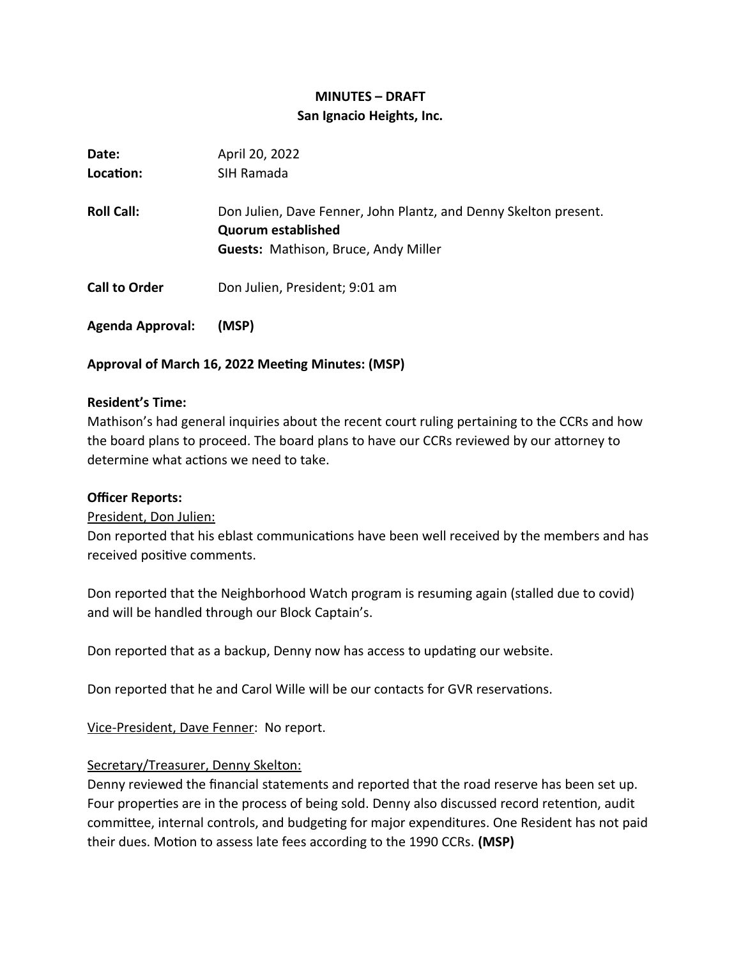# **MINUTES – DRAFT San Ignacio Heights, Inc.**

| Date:                   | April 20, 2022                                                                                                                               |
|-------------------------|----------------------------------------------------------------------------------------------------------------------------------------------|
| Location:               | SIH Ramada                                                                                                                                   |
| <b>Roll Call:</b>       | Don Julien, Dave Fenner, John Plantz, and Denny Skelton present.<br><b>Quorum established</b><br><b>Guests: Mathison, Bruce, Andy Miller</b> |
| <b>Call to Order</b>    | Don Julien, President; 9:01 am                                                                                                               |
| <b>Agenda Approval:</b> | (MSP)                                                                                                                                        |

# **Approval of March 16, 2022 Meeting Minutes: (MSP)**

#### **Resident's Time:**

Mathison's had general inquiries about the recent court ruling pertaining to the CCRs and how the board plans to proceed. The board plans to have our CCRs reviewed by our attorney to determine what actions we need to take.

#### **Officer Reports:**

President, Don Julien:

Don reported that his eblast communications have been well received by the members and has received positive comments.

Don reported that the Neighborhood Watch program is resuming again (stalled due to covid) and will be handled through our Block Captain's.

Don reported that as a backup, Denny now has access to updating our website.

Don reported that he and Carol Wille will be our contacts for GVR reservations.

Vice-President, Dave Fenner: No report.

#### Secretary/Treasurer, Denny Skelton:

Denny reviewed the financial statements and reported that the road reserve has been set up. Four properties are in the process of being sold. Denny also discussed record retention, audit committee, internal controls, and budgeting for major expenditures. One Resident has not paid their dues. Motion to assess late fees according to the 1990 CCRs. **(MSP)**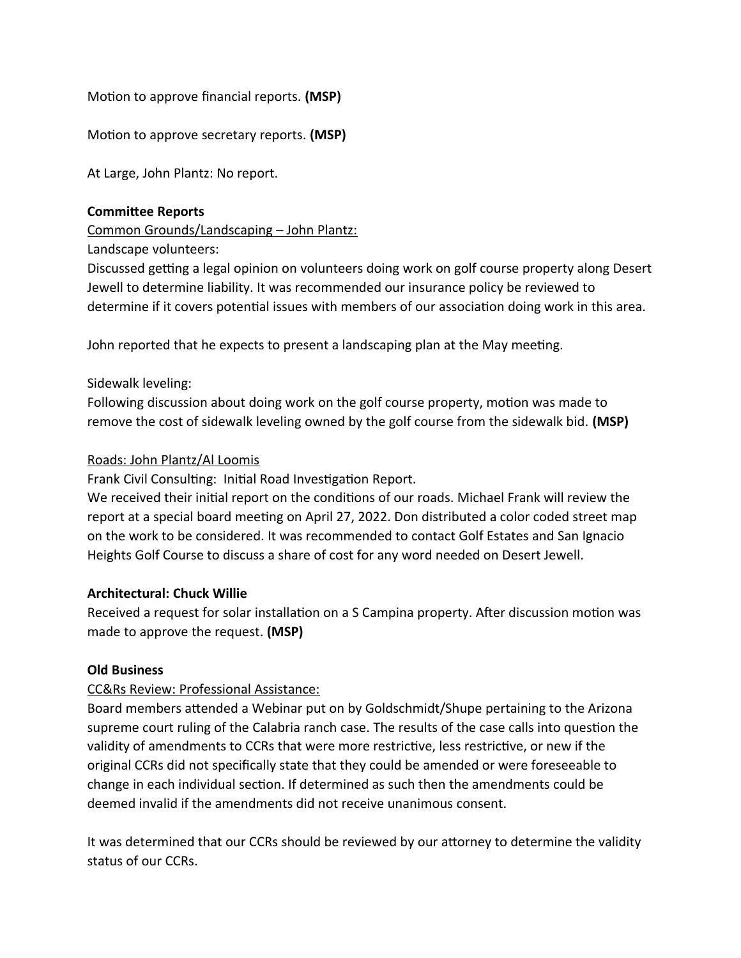Motion to approve financial reports. **(MSP)**

Motion to approve secretary reports. **(MSP)**

At Large, John Plantz: No report.

#### **Committee Reports**

Common Grounds/Landscaping – John Plantz:

Landscape volunteers:

Discussed getting a legal opinion on volunteers doing work on golf course property along Desert Jewell to determine liability. It was recommended our insurance policy be reviewed to determine if it covers potential issues with members of our association doing work in this area.

John reported that he expects to present a landscaping plan at the May meeting.

# Sidewalk leveling:

Following discussion about doing work on the golf course property, motion was made to remove the cost of sidewalk leveling owned by the golf course from the sidewalk bid. **(MSP)**

## Roads: John Plantz/Al Loomis

Frank Civil Consulting: Initial Road Investigation Report.

We received their initial report on the conditions of our roads. Michael Frank will review the report at a special board meeting on April 27, 2022. Don distributed a color coded street map on the work to be considered. It was recommended to contact Golf Estates and San Ignacio Heights Golf Course to discuss a share of cost for any word needed on Desert Jewell.

# **Architectural: Chuck Willie**

Received a request for solar installation on a S Campina property. After discussion motion was made to approve the request. **(MSP)**

# **Old Business**

# CC&Rs Review: Professional Assistance:

Board members attended a Webinar put on by Goldschmidt/Shupe pertaining to the Arizona supreme court ruling of the Calabria ranch case. The results of the case calls into question the validity of amendments to CCRs that were more restrictive, less restrictive, or new if the original CCRs did not specifically state that they could be amended or were foreseeable to change in each individual section. If determined as such then the amendments could be deemed invalid if the amendments did not receive unanimous consent.

It was determined that our CCRs should be reviewed by our attorney to determine the validity status of our CCRs.